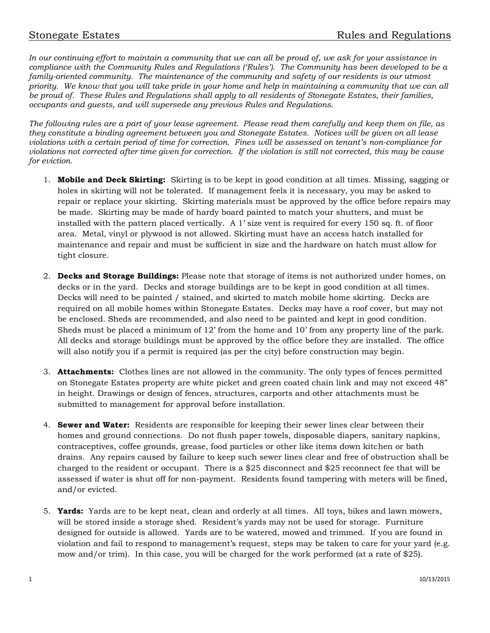*In our continuing effort to maintain a community that we can all be proud of, we ask for your assistance in compliance with the Community Rules and Regulations ('Rules'). The Community has been developed to be a family-oriented community. The maintenance of the community and safety of our residents is our utmost priority. We know that you will take pride in your home and help in maintaining a community that we can all be proud of. These Rules and Regulations shall apply to all residents of Stonegate Estates, their families, occupants and guests, and will supersede any previous Rules and Regulations.*

*The following rules are a part of your lease agreement. Please read them carefully and keep them on file, as they constitute a binding agreement between you and Stonegate Estates. Notices will be given on all lease violations with a certain period of time for correction. Fines will be assessed on tenant's non-compliance for violations not corrected after time given for correction. If the violation is still not corrected, this may be cause for eviction.*

- 1. **Mobile and Deck Skirting:** Skirting is to be kept in good condition at all times. Missing, sagging or holes in skirting will not be tolerated. If management feels it is necessary, you may be asked to repair or replace your skirting. Skirting materials must be approved by the office before repairs may be made. Skirting may be made of hardy board painted to match your shutters, and must be installed with the pattern placed vertically. A 1' size vent is required for every 150 sq. ft. of floor area. Metal, vinyl or plywood is not allowed. Skirting must have an access hatch installed for maintenance and repair and must be sufficient in size and the hardware on hatch must allow for tight closure.
- 2. **Decks and Storage Buildings:** Please note that storage of items is not authorized under homes, on decks or in the yard. Decks and storage buildings are to be kept in good condition at all times. Decks will need to be painted / stained, and skirted to match mobile home skirting. Decks are required on all mobile homes within Stonegate Estates. Decks may have a roof cover, but may not be enclosed. Sheds are recommended, and also need to be painted and kept in good condition. Sheds must be placed a minimum of 12' from the home and 10' from any property line of the park. All decks and storage buildings must be approved by the office before they are installed. The office will also notify you if a permit is required (as per the city) before construction may begin.
- 3. **Attachments:** Clothes lines are not allowed in the community. The only types of fences permitted on Stonegate Estates property are white picket and green coated chain link and may not exceed 48" in height. Drawings or design of fences, structures, carports and other attachments must be submitted to management for approval before installation.
- 4. **Sewer and Water:** Residents are responsible for keeping their sewer lines clear between their homes and ground connections. Do not flush paper towels, disposable diapers, sanitary napkins, contraceptives, coffee grounds, grease, food particles or other like items down kitchen or bath drains. Any repairs caused by failure to keep such sewer lines clear and free of obstruction shall be charged to the resident or occupant. There is a \$25 disconnect and \$25 reconnect fee that will be assessed if water is shut off for non-payment. Residents found tampering with meters will be fined, and/or evicted.
- 5. **Yards:** Yards are to be kept neat, clean and orderly at all times. All toys, bikes and lawn mowers, will be stored inside a storage shed. Resident's yards may not be used for storage. Furniture designed for outside is allowed. Yards are to be watered, mowed and trimmed. If you are found in violation and fail to respond to management's request, steps may be taken to care for your yard (e.g. mow and/or trim). In this case, you will be charged for the work performed (at a rate of \$25).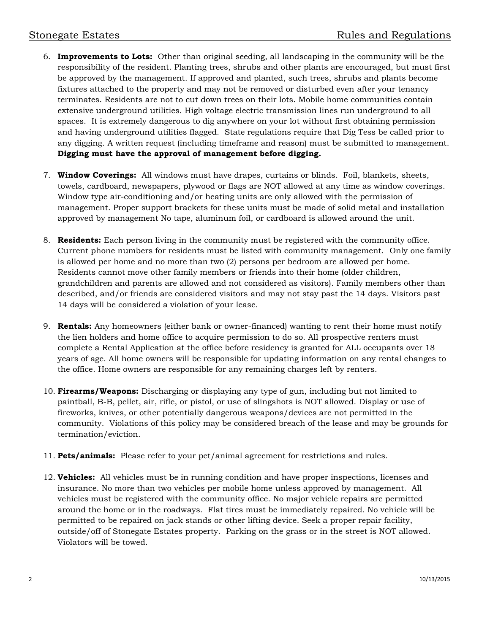- 6. **Improvements to Lots:** Other than original seeding, all landscaping in the community will be the responsibility of the resident. Planting trees, shrubs and other plants are encouraged, but must first be approved by the management. If approved and planted, such trees, shrubs and plants become fixtures attached to the property and may not be removed or disturbed even after your tenancy terminates. Residents are not to cut down trees on their lots. Mobile home communities contain extensive underground utilities. High voltage electric transmission lines run underground to all spaces. It is extremely dangerous to dig anywhere on your lot without first obtaining permission and having underground utilities flagged. State regulations require that Dig Tess be called prior to any digging. A written request (including timeframe and reason) must be submitted to management. **Digging must have the approval of management before digging.**
- 7. **Window Coverings:** All windows must have drapes, curtains or blinds. Foil, blankets, sheets, towels, cardboard, newspapers, plywood or flags are NOT allowed at any time as window coverings. Window type air-conditioning and/or heating units are only allowed with the permission of management. Proper support brackets for these units must be made of solid metal and installation approved by management No tape, aluminum foil, or cardboard is allowed around the unit.
- 8. **Residents:** Each person living in the community must be registered with the community office. Current phone numbers for residents must be listed with community management. Only one family is allowed per home and no more than two (2) persons per bedroom are allowed per home. Residents cannot move other family members or friends into their home (older children, grandchildren and parents are allowed and not considered as visitors). Family members other than described, and/or friends are considered visitors and may not stay past the 14 days. Visitors past 14 days will be considered a violation of your lease.
- 9. **Rentals:** Any homeowners (either bank or owner-financed) wanting to rent their home must notify the lien holders and home office to acquire permission to do so. All prospective renters must complete a Rental Application at the office before residency is granted for ALL occupants over 18 years of age. All home owners will be responsible for updating information on any rental changes to the office. Home owners are responsible for any remaining charges left by renters.
- 10. **Firearms/Weapons:** Discharging or displaying any type of gun, including but not limited to paintball, B-B, pellet, air, rifle, or pistol, or use of slingshots is NOT allowed. Display or use of fireworks, knives, or other potentially dangerous weapons/devices are not permitted in the community. Violations of this policy may be considered breach of the lease and may be grounds for termination/eviction.
- 11. **Pets/animals:** Please refer to your pet/animal agreement for restrictions and rules.
- 12. **Vehicles:** All vehicles must be in running condition and have proper inspections, licenses and insurance. No more than two vehicles per mobile home unless approved by management. All vehicles must be registered with the community office. No major vehicle repairs are permitted around the home or in the roadways. Flat tires must be immediately repaired. No vehicle will be permitted to be repaired on jack stands or other lifting device. Seek a proper repair facility, outside/off of Stonegate Estates property. Parking on the grass or in the street is NOT allowed. Violators will be towed.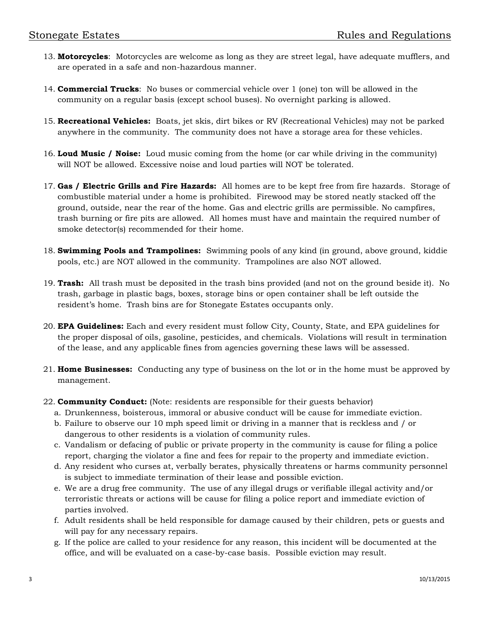- 13. **Motorcycles**: Motorcycles are welcome as long as they are street legal, have adequate mufflers, and are operated in a safe and non-hazardous manner.
- 14. **Commercial Trucks**: No buses or commercial vehicle over 1 (one) ton will be allowed in the community on a regular basis (except school buses). No overnight parking is allowed.
- 15. **Recreational Vehicles:** Boats, jet skis, dirt bikes or RV (Recreational Vehicles) may not be parked anywhere in the community. The community does not have a storage area for these vehicles.
- 16. **Loud Music / Noise:** Loud music coming from the home (or car while driving in the community) will NOT be allowed. Excessive noise and loud parties will NOT be tolerated.
- 17. **Gas / Electric Grills and Fire Hazards:** All homes are to be kept free from fire hazards. Storage of combustible material under a home is prohibited. Firewood may be stored neatly stacked off the ground, outside, near the rear of the home. Gas and electric grills are permissible. No campfires, trash burning or fire pits are allowed. All homes must have and maintain the required number of smoke detector(s) recommended for their home.
- 18. **Swimming Pools and Trampolines:** Swimming pools of any kind (in ground, above ground, kiddie pools, etc.) are NOT allowed in the community. Trampolines are also NOT allowed.
- 19. **Trash:** All trash must be deposited in the trash bins provided (and not on the ground beside it). No trash, garbage in plastic bags, boxes, storage bins or open container shall be left outside the resident's home. Trash bins are for Stonegate Estates occupants only.
- 20. **EPA Guidelines:** Each and every resident must follow City, County, State, and EPA guidelines for the proper disposal of oils, gasoline, pesticides, and chemicals. Violations will result in termination of the lease, and any applicable fines from agencies governing these laws will be assessed.
- 21. **Home Businesses:** Conducting any type of business on the lot or in the home must be approved by management.
- 22. **Community Conduct:** (Note: residents are responsible for their guests behavior)
	- a. Drunkenness, boisterous, immoral or abusive conduct will be cause for immediate eviction.
	- b. Failure to observe our 10 mph speed limit or driving in a manner that is reckless and / or dangerous to other residents is a violation of community rules.
	- c. Vandalism or defacing of public or private property in the community is cause for filing a police report, charging the violator a fine and fees for repair to the property and immediate eviction.
	- d. Any resident who curses at, verbally berates, physically threatens or harms community personnel is subject to immediate termination of their lease and possible eviction.
	- e. We are a drug free community. The use of any illegal drugs or verifiable illegal activity and/or terroristic threats or actions will be cause for filing a police report and immediate eviction of parties involved.
	- f. Adult residents shall be held responsible for damage caused by their children, pets or guests and will pay for any necessary repairs.
	- g. If the police are called to your residence for any reason, this incident will be documented at the office, and will be evaluated on a case-by-case basis. Possible eviction may result.